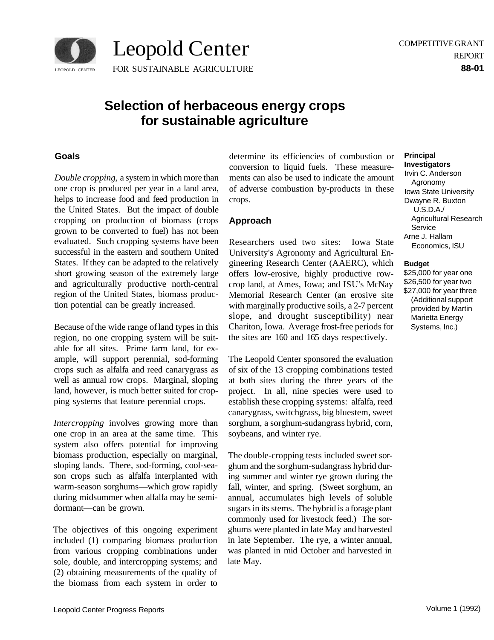

# **Selection of herbaceous energy crops for sustainable agriculture**

Leopold Center

### **Goals**

*Double cropping,* a system in which more than one crop is produced per year in a land area, helps to increase food and feed production in the United States. But the impact of double cropping on production of biomass (crops grown to be converted to fuel) has not been evaluated. Such cropping systems have been successful in the eastern and southern United States. If they can be adapted to the relatively short growing season of the extremely large and agriculturally productive north-central region of the United States, biomass production potential can be greatly increased.

Because of the wide range of land types in this region, no one cropping system will be suitable for all sites. Prime farm land, for example, will support perennial, sod-forming crops such as alfalfa and reed canarygrass as well as annual row crops. Marginal, sloping land, however, is much better suited for cropping systems that feature perennial crops.

*Intercropping* involves growing more than one crop in an area at the same time. This system also offers potential for improving biomass production, especially on marginal, sloping lands. There, sod-forming, cool-season crops such as alfalfa interplanted with warm-season sorghums—which grow rapidly during midsummer when alfalfa may be semidormant—can be grown.

The objectives of this ongoing experiment included (1) comparing biomass production from various cropping combinations under sole, double, and intercropping systems; and (2) obtaining measurements of the quality of the biomass from each system in order to

determine its efficiencies of combustion or conversion to liquid fuels. These measurements can also be used to indicate the amount of adverse combustion by-products in these crops.

### **Approach**

Researchers used two sites: Iowa State University's Agronomy and Agricultural Engineering Research Center (AAERC), which offers low-erosive, highly productive rowcrop land, at Ames, Iowa; and ISU's McNay Memorial Research Center (an erosive site with marginally productive soils, a 2-7 percent slope, and drought susceptibility) near Chariton, Iowa. Average frost-free periods for the sites are 160 and 165 days respectively.

The Leopold Center sponsored the evaluation of six of the 13 cropping combinations tested at both sites during the three years of the project. In all, nine species were used to establish these cropping systems: alfalfa, reed canarygrass, switchgrass, big bluestem, sweet sorghum, a sorghum-sudangrass hybrid, corn, soybeans, and winter rye.

The double-cropping tests included sweet sorghum and the sorghum-sudangrass hybrid during summer and winter rye grown during the fall, winter, and spring. (Sweet sorghum, an annual, accumulates high levels of soluble sugars in its stems. The hybrid is a forage plant commonly used for livestock feed.) The sorghums were planted in late May and harvested in late September. The rye, a winter annual, was planted in mid October and harvested in late May.

## **Principal**

**Investigators**  Irvin C. Anderson Agronomy Iowa State University Dwayne R. Buxton U.S.D.A./ Agricultural Research Service Arne J. Hallam Economics, ISU

#### **Budget**

\$25,000 for year one \$26,500 for year two \$27,000 for year three (Additional support provided by Martin Marietta Energy Systems, Inc.)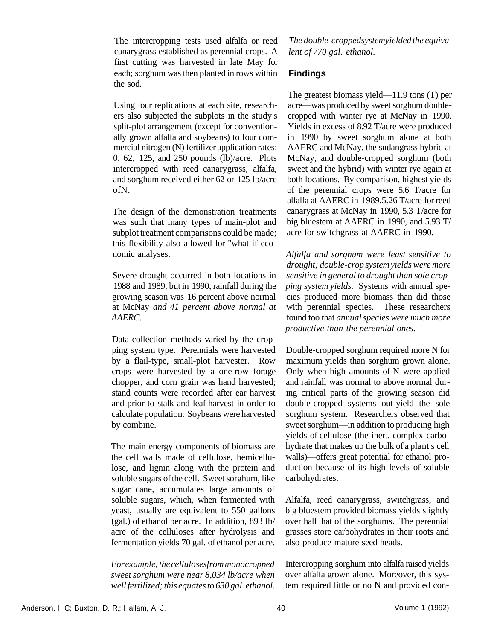The intercropping tests used alfalfa or reed canarygrass established as perennial crops. A first cutting was harvested in late May for each; sorghum was then planted in rows within the sod.

Using four replications at each site, researchers also subjected the subplots in the study's split-plot arrangement (except for conventionally grown alfalfa and soybeans) to four commercial nitrogen (N) fertilizer application rates: 0, 62, 125, and 250 pounds (lb)/acre. Plots intercropped with reed canarygrass, alfalfa, and sorghum received either 62 or 125 lb/acre ofN.

The design of the demonstration treatments was such that many types of main-plot and subplot treatment comparisons could be made; this flexibility also allowed for "what if economic analyses.

Severe drought occurred in both locations in 1988 and 1989, but in 1990, rainfall during the growing season was 16 percent above normal at McNay *and 41 percent above normal at AAERC.* 

Data collection methods varied by the cropping system type. Perennials were harvested by a flail-type, small-plot harvester. Row crops were harvested by a one-row forage chopper, and corn grain was hand harvested; stand counts were recorded after ear harvest and prior to stalk and leaf harvest in order to calculate population. Soybeans were harvested by combine.

The main energy components of biomass are the cell walls made of cellulose, hemicellulose, and lignin along with the protein and soluble sugars of the cell. Sweet sorghum, like sugar cane, accumulates large amounts of soluble sugars, which, when fermented with yeast, usually are equivalent to 550 gallons (gal.) of ethanol per acre. In addition, 893 lb/ acre of the celluloses after hydrolysis and fermentation yields 70 gal. of ethanol per acre.

*For example, the cellulosesfrom monocropped sweet sorghum were near 8,034 lb/acre when well fertilized; this equates to 630 gal. ethanol.* 

*The double-croppedsystemyielded the equivalent of 770 gal. ethanol.* 

### **Findings**

The greatest biomass yield—11.9 tons (T) per acre—was produced by sweet sorghum doublecropped with winter rye at McNay in 1990. Yields in excess of 8.92 T/acre were produced in 1990 by sweet sorghum alone at both AAERC and McNay, the sudangrass hybrid at McNay, and double-cropped sorghum (both sweet and the hybrid) with winter rye again at both locations. By comparison, highest yields of the perennial crops were 5.6 T/acre for alfalfa at AAERC in 1989,5.26 T/acre for reed canarygrass at McNay in 1990, 5.3 T/acre for big bluestem at AAERC in 1990, and 5.93 T/ acre for switchgrass at AAERC in 1990.

*Alfalfa and sorghum were least sensitive to drought; double-crop system yields were more sensitive in general to drought than sole cropping system yields.* Systems with annual species produced more biomass than did those with perennial species. These researchers found too that *annual species were much more productive than the perennial ones.* 

Double-cropped sorghum required more N for maximum yields than sorghum grown alone. Only when high amounts of N were applied and rainfall was normal to above normal during critical parts of the growing season did double-cropped systems out-yield the sole sorghum system. Researchers observed that sweet sorghum—in addition to producing high yields of cellulose (the inert, complex carbohydrate that makes up the bulk of a plant's cell walls)—offers great potential for ethanol production because of its high levels of soluble carbohydrates.

Alfalfa, reed canarygrass, switchgrass, and big bluestem provided biomass yields slightly over half that of the sorghums. The perennial grasses store carbohydrates in their roots and also produce mature seed heads.

Intercropping sorghum into alfalfa raised yields over alfalfa grown alone. Moreover, this system required little or no N and provided con